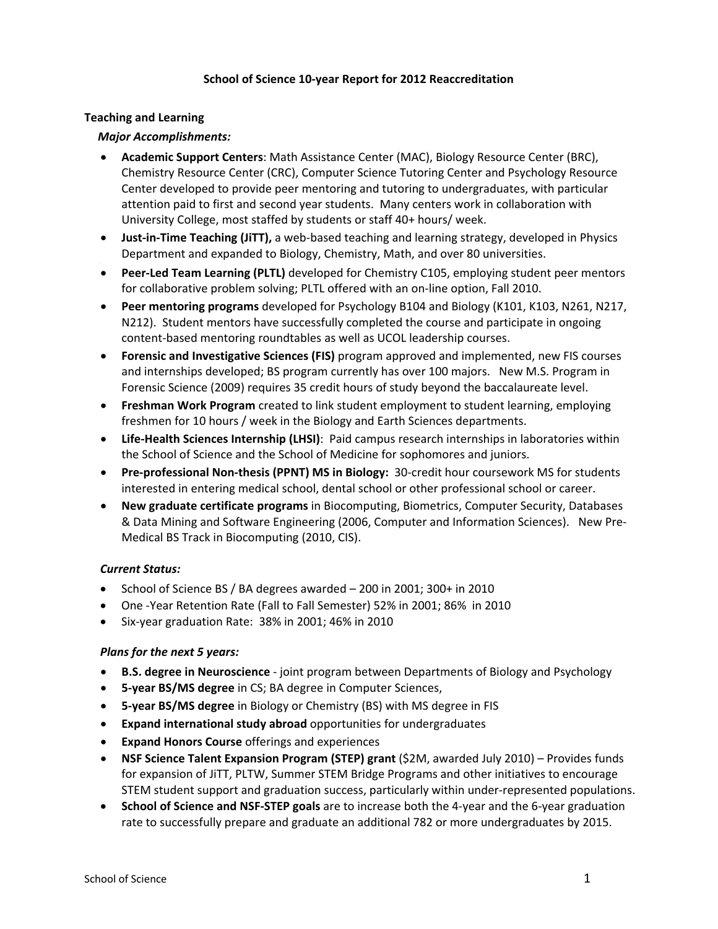### **School of Science 10‐year Report for 2012 Reaccreditation**

### **Teaching and Learning**

### *Major Accomplishments:*

- **Academic Support Centers**: Math Assistance Center (MAC), Biology Resource Center (BRC), Chemistry Resource Center (CRC), Computer Science Tutoring Center and Psychology Resource Center developed to provide peer mentoring and tutoring to undergraduates, with particular attention paid to first and second year students. Many centers work in collaboration with University College, most staffed by students or staff 40+ hours/ week.
- **Just‐in‐Time Teaching (JiTT),** a web‐based teaching and learning strategy, developed in Physics Department and expanded to Biology, Chemistry, Math, and over 80 universities.
- **Peer‐Led Team Learning (PLTL)** developed for Chemistry C105, employing student peer mentors for collaborative problem solving; PLTL offered with an on‐line option, Fall 2010.
- **Peer mentoring programs** developed for Psychology B104 and Biology (K101, K103, N261, N217, N212). Student mentors have successfully completed the course and participate in ongoing content‐based mentoring roundtables as well as UCOL leadership courses.
- **Forensic and Investigative Sciences (FIS)** program approved and implemented, new FIS courses and internships developed; BS program currently has over 100 majors. New M.S. Program in Forensic Science (2009) requires 35 credit hours of study beyond the baccalaureate level.
- **Freshman Work Program** created to link student employment to student learning, employing freshmen for 10 hours / week in the Biology and Earth Sciences departments.
- **Life‐Health Sciences Internship (LHSI)**: Paid campus research internships in laboratories within the School of Science and the School of Medicine for sophomores and juniors.
- **Pre‐professional Non‐thesis (PPNT) MS in Biology:** 30‐credit hour coursework MS for students interested in entering medical school, dental school or other professional school or career.
- **New graduate certificate programs** in Biocomputing, Biometrics, Computer Security, Databases & Data Mining and Software Engineering (2006, Computer and Information Sciences). New Pre‐ Medical BS Track in Biocomputing (2010, CIS).

# *Current Status:*

- School of Science BS / BA degrees awarded 200 in 2001; 300+ in 2010
- One ‐Year Retention Rate (Fall to Fall Semester) 52% in 2001; 86% in 2010
- Six‐year graduation Rate: 38% in 2001; 46% in 2010

# *Plans for the next 5 years:*

- **B.S. degree in Neuroscience** ‐ joint program between Departments of Biology and Psychology
- **5‐year BS/MS degree** in CS; BA degree in Computer Sciences,
- **5‐year BS/MS degree** in Biology or Chemistry (BS) with MS degree in FIS
- **Expand international study abroad** opportunities for undergraduates
- **Expand Honors Course** offerings and experiences
- **NSF Science Talent Expansion Program (STEP) grant** (\$2M, awarded July 2010) Provides funds for expansion of JiTT, PLTW, Summer STEM Bridge Programs and other initiatives to encourage STEM student support and graduation success, particularly within under‐represented populations.
- **School of Science and NSF‐STEP goals** are to increase both the 4‐year and the 6‐year graduation rate to successfully prepare and graduate an additional 782 or more undergraduates by 2015.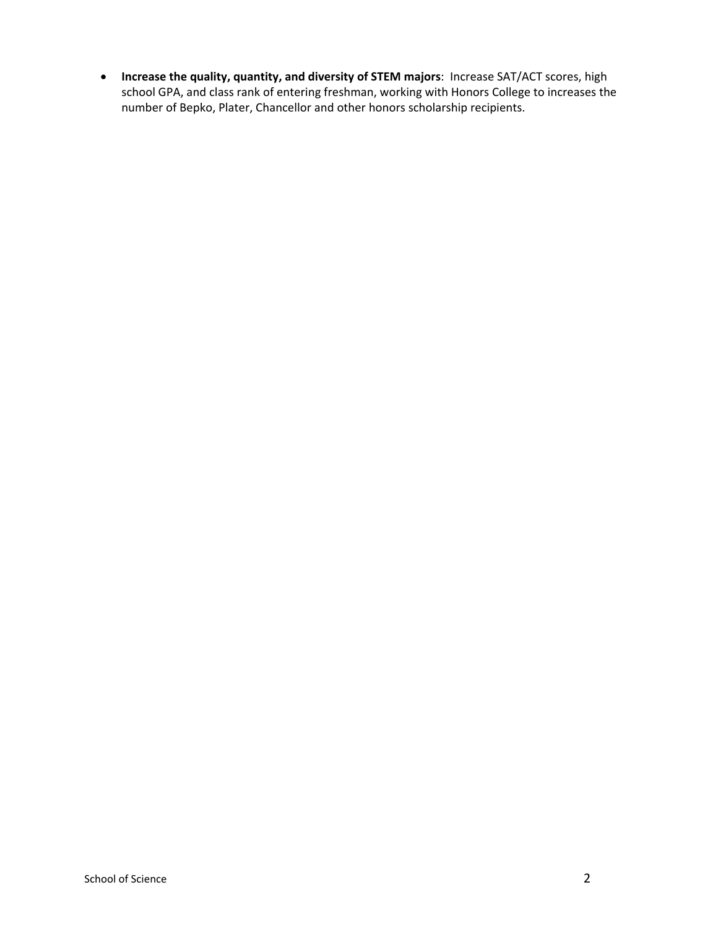**Increase the quality, quantity, and diversity of STEM majors**: Increase SAT/ACT scores, high school GPA, and class rank of entering freshman, working with Honors College to increases the number of Bepko, Plater, Chancellor and other honors scholarship recipients.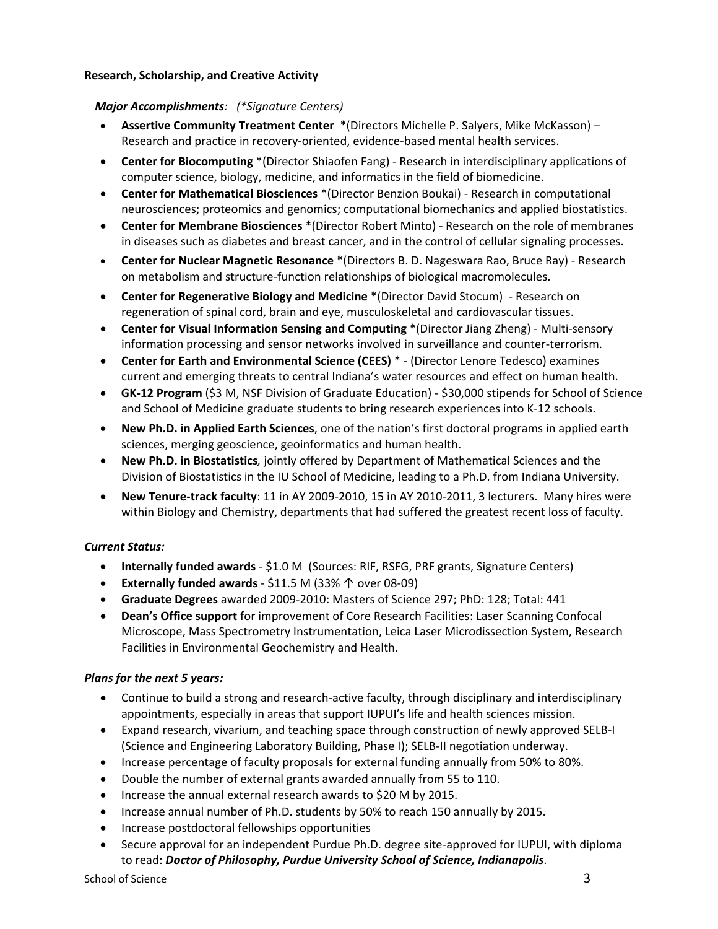### **Research, Scholarship, and Creative Activity**

### *Major Accomplishments: (\*Signature Centers)*

- **Assertive Community Treatment Center** \*(Directors Michelle P. Salyers, Mike McKasson) Research and practice in recovery‐oriented, evidence‐based mental health services.
- **Center for Biocomputing** \*(Director Shiaofen Fang) ‐ Research in interdisciplinary applications of computer science, biology, medicine, and informatics in the field of biomedicine.
- **Center for Mathematical Biosciences** \*(Director Benzion Boukai) ‐ Research in computational neurosciences; proteomics and genomics; computational biomechanics and applied biostatistics.
- **Center for Membrane Biosciences** \*(Director Robert Minto) ‐ Research on the role of membranes in diseases such as diabetes and breast cancer, and in the control of cellular signaling processes.
- **Center for Nuclear Magnetic Resonance** \*(Directors B. D. Nageswara Rao, Bruce Ray) ‐ Research on metabolism and structure‐function relationships of biological macromolecules.
- **Center for Regenerative Biology and Medicine** \*(Director David Stocum) ‐ Research on regeneration of spinal cord, brain and eye, musculoskeletal and cardiovascular tissues.
- **Center for Visual Information Sensing and Computing** \*(Director Jiang Zheng) ‐ Multi‐sensory information processing and sensor networks involved in surveillance and counter‐terrorism.
- **Center for Earth and Environmental Science (CEES)** \* ‐ (Director Lenore Tedesco) examines current and emerging threats to central Indiana's water resources and effect on human health.
- **GK‐12 Program** (\$3 M, NSF Division of Graduate Education) ‐ \$30,000 stipends for School of Science and School of Medicine graduate students to bring research experiences into K‐12 schools.
- **New Ph.D. in Applied Earth Sciences**, one of the nation's first doctoral programs in applied earth sciences, merging geoscience, geoinformatics and human health.
- **New Ph.D. in Biostatistics***,* jointly offered by Department of Mathematical Sciences and the Division of Biostatistics in the IU School of Medicine, leading to a Ph.D. from Indiana University.
- **New Tenure‐track faculty**: 11 in AY 2009‐2010, 15 in AY 2010‐2011, 3 lecturers. Many hires were within Biology and Chemistry, departments that had suffered the greatest recent loss of faculty.

# *Current Status:*

- **Internally funded awards** ‐ \$1.0 M (Sources: RIF, RSFG, PRF grants, Signature Centers)
- **Externally funded awards** ‐ \$11.5 M (33% ↑ over 08‐09)
- **Graduate Degrees** awarded 2009‐2010: Masters of Science 297; PhD: 128; Total: 441
- **Dean's Office support** for improvement of Core Research Facilities: Laser Scanning Confocal Microscope, Mass Spectrometry Instrumentation, Leica Laser Microdissection System, Research Facilities in Environmental Geochemistry and Health.

# *Plans for the next 5 years:*

- Continue to build a strong and research-active faculty, through disciplinary and interdisciplinary appointments, especially in areas that support IUPUI's life and health sciences mission.
- Expand research, vivarium, and teaching space through construction of newly approved SELB‐I (Science and Engineering Laboratory Building, Phase I); SELB‐II negotiation underway.
- Increase percentage of faculty proposals for external funding annually from 50% to 80%.
- Double the number of external grants awarded annually from 55 to 110.
- Increase the annual external research awards to \$20 M by 2015.
- Increase annual number of Ph.D. students by 50% to reach 150 annually by 2015.
- Increase postdoctoral fellowships opportunities
- Secure approval for an independent Purdue Ph.D. degree site‐approved for IUPUI, with diploma to read: *Doctor of Philosophy, Purdue University School of Science, Indianapolis*.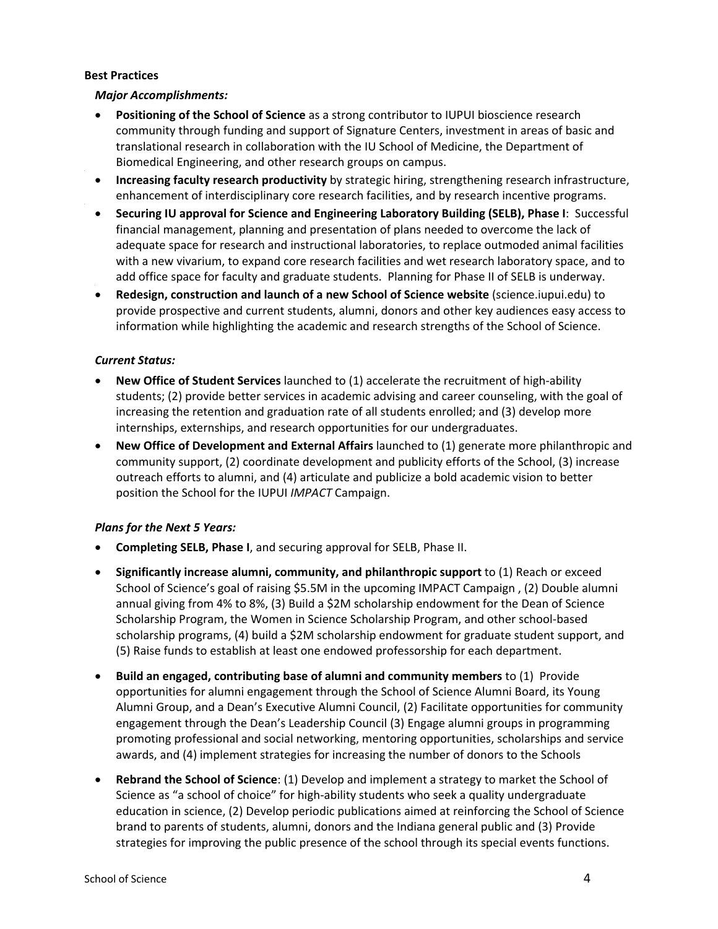### **Best Practices**

### *Major Accomplishments:*

- **Positioning of the School of Science** as a strong contributor to IUPUI bioscience research community through funding and support of Signature Centers, investment in areas of basic and translational research in collaboration with the IU School of Medicine, the Department of Biomedical Engineering, and other research groups on campus.
- **Increasing faculty research productivity** by strategic hiring, strengthening research infrastructure, enhancement of interdisciplinary core research facilities, and by research incentive programs.
- **Securing IU approval for Science and Engineering Laboratory Building (SELB), Phase I**:Successful financial management, planning and presentation of plans needed to overcome the lack of adequate space for research and instructional laboratories, to replace outmoded animal facilities with a new vivarium, to expand core research facilities and wet research laboratory space, and to add office space for faculty and graduate students. Planning for Phase II of SELB is underway.
- **Redesign, construction and launch of a new School of Science website** (science.iupui.edu) to provide prospective and current students, alumni, donors and other key audiences easy access to information while highlighting the academic and research strengths of the School of Science.

# *Current Status:*

- **New Office of Student Services** launched to (1) accelerate the recruitment of high‐ability students; (2) provide better services in academic advising and career counseling, with the goal of increasing the retention and graduation rate of all students enrolled; and (3) develop more internships, externships, and research opportunities for our undergraduates.
- **New Office of Development and External Affairs** launched to (1) generate more philanthropic and community support, (2) coordinate development and publicity efforts of the School, (3) increase outreach efforts to alumni, and (4) articulate and publicize a bold academic vision to better position the School for the IUPUI *IMPACT* Campaign.

# *Plans for the Next 5 Years:*

- **Completing SELB, Phase I**, and securing approval for SELB, Phase II.
- **Significantly increase alumni, community, and philanthropic support** to (1) Reach or exceed School of Science's goal of raising \$5.5M in the upcoming IMPACT Campaign , (2) Double alumni annual giving from 4% to 8%, (3) Build a \$2M scholarship endowment for the Dean of Science Scholarship Program, the Women in Science Scholarship Program, and other school‐based scholarship programs, (4) build a \$2M scholarship endowment for graduate student support, and (5) Raise funds to establish at least one endowed professorship for each department.
- **Build an engaged, contributing base of alumni and community members** to (1) Provide opportunities for alumni engagement through the School of Science Alumni Board, its Young Alumni Group, and a Dean's Executive Alumni Council, (2) Facilitate opportunities for community engagement through the Dean's Leadership Council (3) Engage alumni groups in programming promoting professional and social networking, mentoring opportunities, scholarships and service awards, and (4) implement strategies for increasing the number of donors to the Schools
- **Rebrand the School of Science**: (1) Develop and implement a strategy to market the School of Science as "a school of choice" for high‐ability students who seek a quality undergraduate education in science, (2) Develop periodic publications aimed at reinforcing the School of Science brand to parents of students, alumni, donors and the Indiana general public and (3) Provide strategies for improving the public presence of the school through its special events functions.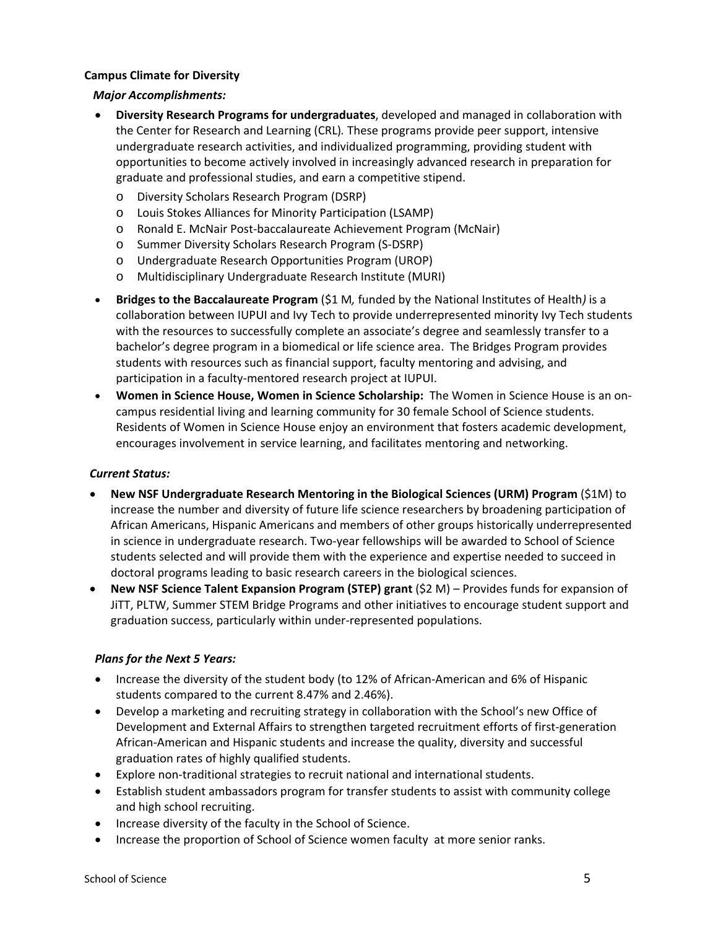# **Campus Climate for Diversity**

# *Major Accomplishments:*

- **Diversity Research Programs for undergraduates**, developed and managed in collaboration with the Center for Research and Learning (CRL)*.* These programs provide peer support, intensive undergraduate research activities, and individualized programming, providing student with opportunities to become actively involved in increasingly advanced research in preparation for graduate and professional studies, and earn a competitive stipend.
	- o Diversity Scholars Research Program (DSRP)
	- o Louis Stokes Alliances for Minority Participation (LSAMP)
	- o Ronald E. McNair Post‐baccalaureate Achievement Program (McNair)
	- o Summer Diversity Scholars Research Program (S‐DSRP)
	- o Undergraduate Research Opportunities Program (UROP)
	- o Multidisciplinary Undergraduate Research Institute (MURI)
- **Bridges to the Baccalaureate Program** (\$1 M*,* funded by the National Institutes of Health*)* is a collaboration between IUPUI and Ivy Tech to provide underrepresented minority Ivy Tech students with the resources to successfully complete an associate's degree and seamlessly transfer to a bachelor's degree program in a biomedical or life science area. The Bridges Program provides students with resources such as financial support, faculty mentoring and advising, and participation in a faculty-mentored research project at IUPUI.
- **Women in Science House, Women in Science Scholarship:** The Women in Science House is an on‐ campus residential living and learning community for 30 female School of Science students. Residents of Women in Science House enjoy an environment that fosters academic development, encourages involvement in service learning, and facilitates mentoring and networking.

# *Current Status:*

- **New NSF Undergraduate Research Mentoring in the Biological Sciences (URM) Program** (\$1M) to increase the number and diversity of future life science researchers by broadening participation of African Americans, Hispanic Americans and members of other groups historically underrepresented in science in undergraduate research. Two-year fellowships will be awarded to School of Science students selected and will provide them with the experience and expertise needed to succeed in doctoral programs leading to basic research careers in the biological sciences.
- **New NSF Science Talent Expansion Program (STEP) grant** (\$2 M) Provides funds for expansion of JiTT, PLTW, Summer STEM Bridge Programs and other initiatives to encourage student support and graduation success, particularly within under‐represented populations.

# *Plans for the Next 5 Years:*

- Increase the diversity of the student body (to 12% of African-American and 6% of Hispanic students compared to the current 8.47% and 2.46%).
- Develop a marketing and recruiting strategy in collaboration with the School's new Office of Development and External Affairs to strengthen targeted recruitment efforts of first-generation African‐American and Hispanic students and increase the quality, diversity and successful graduation rates of highly qualified students.
- Explore non-traditional strategies to recruit national and international students.
- Establish student ambassadors program for transfer students to assist with community college and high school recruiting.
- Increase diversity of the faculty in the School of Science.
- Increase the proportion of School of Science women faculty at more senior ranks.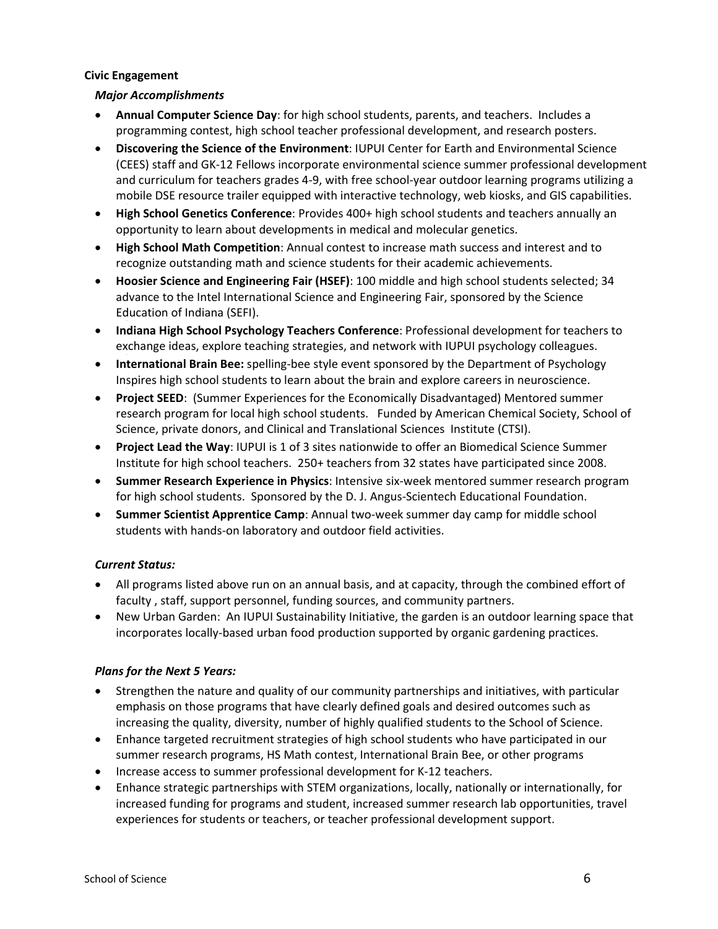# **Civic Engagement**

# *Major Accomplishments*

- **Annual Computer Science Day**: for high school students, parents, and teachers. Includes a programming contest, high school teacher professional development, and research posters.
- **Discovering the Science of the Environment**: IUPUI Center for Earth and Environmental Science (CEES) staff and GK‐12 Fellows incorporate environmental science summer professional development and curriculum for teachers grades 4-9, with free school-year outdoor learning programs utilizing a mobile DSE resource trailer equipped with interactive technology, web kiosks, and GIS capabilities.
- **High School Genetics Conference**: Provides 400+ high school students and teachers annually an opportunity to learn about developments in medical and molecular genetics.
- **High School Math Competition**: Annual contest to increase math success and interest and to recognize outstanding math and science students for their academic achievements.
- **Hoosier Science and Engineering Fair (HSEF)**: 100 middle and high school students selected; 34 advance to the Intel International Science and Engineering Fair, sponsored by the Science Education of Indiana (SEFI).
- **Indiana High School Psychology Teachers Conference**: Professional development for teachers to exchange ideas, explore teaching strategies, and network with IUPUI psychology colleagues.
- **International Brain Bee:** spelling‐bee style event sponsored by the Department of Psychology Inspires high school students to learn about the brain and explore careers in neuroscience.
- **Project SEED**: (Summer Experiences for the Economically Disadvantaged) Mentored summer research program for local high school students. Funded by American Chemical Society, School of Science, private donors, and Clinical and Translational Sciences Institute (CTSI).
- **Project Lead the Way**: IUPUI is 1 of 3 sites nationwide to offer an Biomedical Science Summer Institute for high school teachers. 250+ teachers from 32 states have participated since 2008.
- **Summer Research Experience in Physics**: Intensive six‐week mentored summer research program for high school students. Sponsored by the D. J. Angus‐Scientech Educational Foundation.
- **Summer Scientist Apprentice Camp**: Annual two‐week summer day camp for middle school students with hands‐on laboratory and outdoor field activities.

# *Current Status:*

- All programs listed above run on an annual basis, and at capacity, through the combined effort of faculty , staff, support personnel, funding sources, and community partners.
- New Urban Garden: An IUPUI Sustainability Initiative, the garden is an outdoor learning space that incorporates locally‐based urban food production supported by organic gardening practices.

# *Plans for the Next 5 Years:*

- Strengthen the nature and quality of our community partnerships and initiatives, with particular emphasis on those programs that have clearly defined goals and desired outcomes such as increasing the quality, diversity, number of highly qualified students to the School of Science.
- Enhance targeted recruitment strategies of high school students who have participated in our summer research programs, HS Math contest, International Brain Bee, or other programs
- Increase access to summer professional development for K‐12 teachers.
- Enhance strategic partnerships with STEM organizations, locally, nationally or internationally, for increased funding for programs and student, increased summer research lab opportunities, travel experiences for students or teachers, or teacher professional development support.